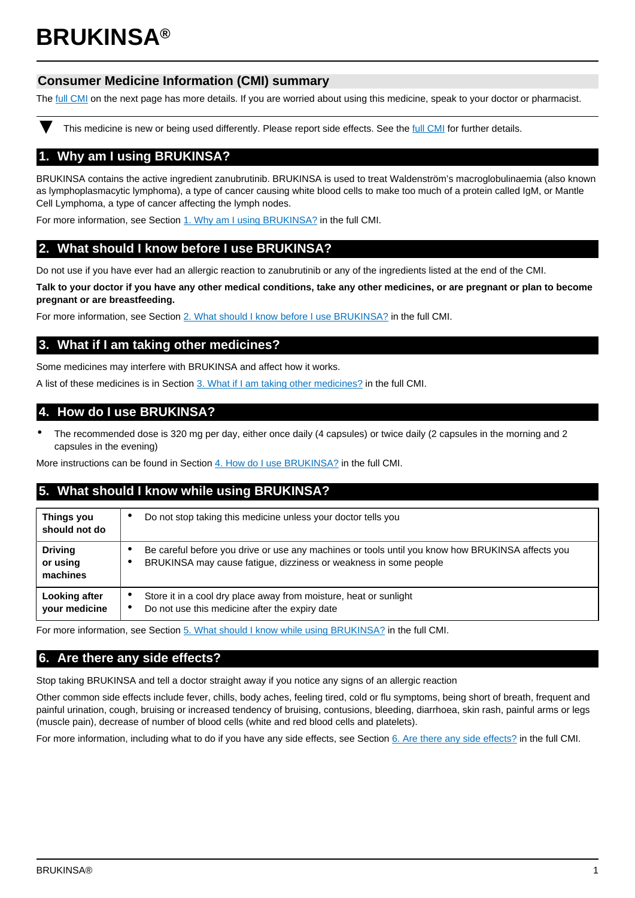# **BRUKINSA®**

## **Consumer Medicine Information (CMI) summary**

The [full CMI](#page-1-0) on the next page has more details. If you are worried about using this medicine, speak to your doctor or pharmacist.

This medicine is new or being used differently. Please report side effects. See the [full CMI](#page-1-0) for further details.

## **1. Why am I using BRUKINSA?**

BRUKINSA contains the active ingredient zanubrutinib. BRUKINSA is used to treat Waldenström's macroglobulinaemia (also known as lymphoplasmacytic lymphoma), a type of cancer causing white blood cells to make too much of a protein called IgM, or Mantle Cell Lymphoma, a type of cancer affecting the lymph nodes.

For more information, see Section [1. Why am I using BRUKINSA?](#page-1-1) in the full CMI.

## **2. What should I know before I use BRUKINSA?**

Do not use if you have ever had an allergic reaction to zanubrutinib or any of the ingredients listed at the end of the CMI.

**Talk to your doctor if you have any other medical conditions, take any other medicines, or are pregnant or plan to become pregnant or are breastfeeding.**

For more information, see Section [2. What should I know before I use BRUKINSA?](#page-1-2) in the full CMI.

## **3. What if I am taking other medicines?**

Some medicines may interfere with BRUKINSA and affect how it works.

A list of these medicines is in Section [3. What if I am taking other medicines?](#page-2-0) in the full CMI.

### **4. How do I use BRUKINSA?**

• The recommended dose is 320 mg per day, either once daily (4 capsules) or twice daily (2 capsules in the morning and 2 capsules in the evening)

More instructions can be found in Section [4. How do I use BRUKINSA?](#page-2-1) in the full CMI.

## **5. What should I know while using BRUKINSA?**

| Things you<br>should not do            | Do not stop taking this medicine unless your doctor tells you<br>٠                                                                                                   |
|----------------------------------------|----------------------------------------------------------------------------------------------------------------------------------------------------------------------|
| <b>Driving</b><br>or using<br>machines | Be careful before you drive or use any machines or tools until you know how BRUKINSA affects you<br>BRUKINSA may cause fatigue, dizziness or weakness in some people |
| Looking after<br>your medicine         | Store it in a cool dry place away from moisture, heat or sunlight<br>٠<br>Do not use this medicine after the expiry date<br>$\bullet$                                |

For more information, see Section [5. What should I know while using BRUKINSA?](#page-2-2) in the full CMI.

## **6. Are there any side effects?**

Stop taking BRUKINSA and tell a doctor straight away if you notice any signs of an allergic reaction

Other common side effects include fever, chills, body aches, feeling tired, cold or flu symptoms, being short of breath, frequent and painful urination, cough, bruising or increased tendency of bruising, contusions, bleeding, diarrhoea, skin rash, painful arms or legs (muscle pain), decrease of number of blood cells (white and red blood cells and platelets).

For more information, including what to do if you have any side effects, see Section [6. Are there any side effects?](#page-2-3) in the full CMI.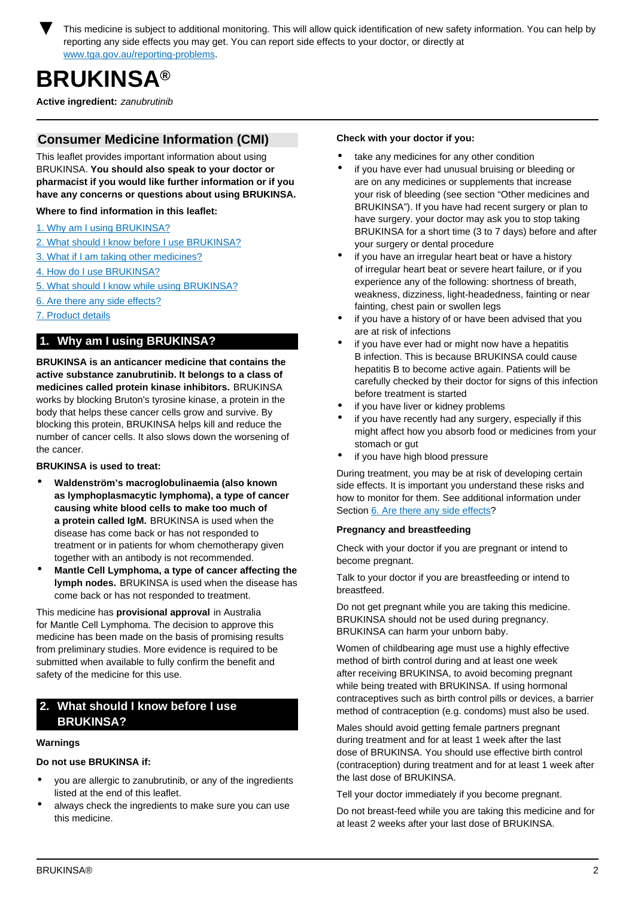<span id="page-1-0"></span>

## **BRUKINSA®**

**Active ingredient:** zanubrutinib

## **Consumer Medicine Information (CMI)**

This leaflet provides important information about using BRUKINSA. **You should also speak to your doctor or pharmacist if you would like further information or if you have any concerns or questions about using BRUKINSA.**

**Where to find information in this leaflet:**

- [1. Why am I using BRUKINSA?](#page-1-1)
- [2. What should I know before I use BRUKINSA?](#page-1-2)
- [3. What if I am taking other medicines?](#page-2-0)
- [4. How do I use BRUKINSA?](#page-2-1)
- [5. What should I know while using BRUKINSA?](#page-2-2)
- [6. Are there any side effects?](#page-2-3)
- [7. Product details](#page-3-0)

## <span id="page-1-1"></span>**1. Why am I using BRUKINSA?**

**BRUKINSA is an anticancer medicine that contains the active substance zanubrutinib. It belongs to a class of medicines called protein kinase inhibitors.** BRUKINSA works by blocking Bruton's tyrosine kinase, a protein in the body that helps these cancer cells grow and survive. By blocking this protein, BRUKINSA helps kill and reduce the number of cancer cells. It also slows down the worsening of the cancer.

**BRUKINSA is used to treat:**

- **Waldenström's macroglobulinaemia (also known as lymphoplasmacytic lymphoma), a type of cancer causing white blood cells to make too much of a protein called IgM.** BRUKINSA is used when the disease has come back or has not responded to treatment or in patients for whom chemotherapy given together with an antibody is not recommended.
- **Mantle Cell Lymphoma, a type of cancer affecting the lymph nodes.** BRUKINSA is used when the disease has come back or has not responded to treatment.

This medicine has **provisional approval** in Australia for Mantle Cell Lymphoma. The decision to approve this medicine has been made on the basis of promising results from preliminary studies. More evidence is required to be submitted when available to fully confirm the benefit and safety of the medicine for this use.

## <span id="page-1-2"></span>**2. What should I know before I use BRUKINSA?**

#### **Warnings**

**Do not use BRUKINSA if:**

- you are allergic to zanubrutinib, or any of the ingredients listed at the end of this leaflet.
- always check the ingredients to make sure you can use this medicine.

#### **Check with your doctor if you:**

- take any medicines for any other condition
- if you have ever had unusual bruising or bleeding or are on any medicines or supplements that increase your risk of bleeding (see section "Other medicines and BRUKINSA"). If you have had recent surgery or plan to have surgery. your doctor may ask you to stop taking BRUKINSA for a short time (3 to 7 days) before and after your surgery or dental procedure
- if you have an irregular heart beat or have a history of irregular heart beat or severe heart failure, or if you experience any of the following: shortness of breath, weakness, dizziness, light-headedness, fainting or near fainting, chest pain or swollen legs
- if you have a history of or have been advised that you are at risk of infections
- if you have ever had or might now have a hepatitis B infection. This is because BRUKINSA could cause hepatitis B to become active again. Patients will be carefully checked by their doctor for signs of this infection before treatment is started
- if you have liver or kidney problems
- if you have recently had any surgery, especially if this might affect how you absorb food or medicines from your stomach or gut
- if you have high blood pressure

During treatment, you may be at risk of developing certain side effects. It is important you understand these risks and how to monitor for them. See additional information under Section [6. Are there any side effects](#page-2-3)?

#### **Pregnancy and breastfeeding**

Check with your doctor if you are pregnant or intend to become pregnant.

Talk to your doctor if you are breastfeeding or intend to breastfeed.

Do not get pregnant while you are taking this medicine. BRUKINSA should not be used during pregnancy. BRUKINSA can harm your unborn baby.

Women of childbearing age must use a highly effective method of birth control during and at least one week after receiving BRUKINSA, to avoid becoming pregnant while being treated with BRUKINSA. If using hormonal contraceptives such as birth control pills or devices, a barrier method of contraception (e.g. condoms) must also be used.

Males should avoid getting female partners pregnant during treatment and for at least 1 week after the last dose of BRUKINSA. You should use effective birth control (contraception) during treatment and for at least 1 week after the last dose of BRUKINSA.

Tell your doctor immediately if you become pregnant.

Do not breast-feed while you are taking this medicine and for at least 2 weeks after your last dose of BRUKINSA.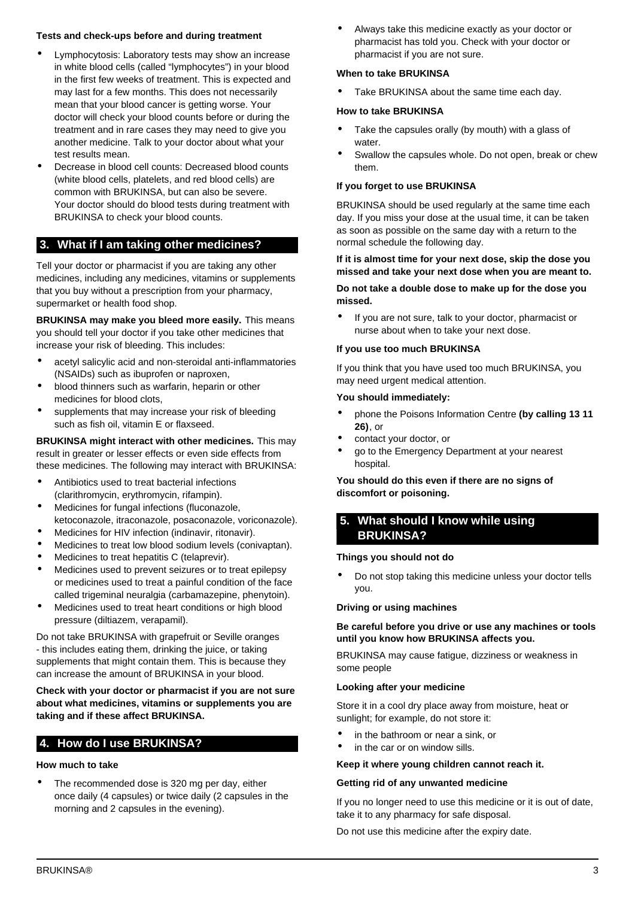#### **Tests and check-ups before and during treatment**

- Lymphocytosis: Laboratory tests may show an increase in white blood cells (called "lymphocytes") in your blood in the first few weeks of treatment. This is expected and may last for a few months. This does not necessarily mean that your blood cancer is getting worse. Your doctor will check your blood counts before or during the treatment and in rare cases they may need to give you another medicine. Talk to your doctor about what your test results mean.
- Decrease in blood cell counts: Decreased blood counts (white blood cells, platelets, and red blood cells) are common with BRUKINSA, but can also be severe. Your doctor should do blood tests during treatment with BRUKINSA to check your blood counts.

## <span id="page-2-0"></span>**3. What if I am taking other medicines?**

Tell your doctor or pharmacist if you are taking any other medicines, including any medicines, vitamins or supplements that you buy without a prescription from your pharmacy, supermarket or health food shop.

**BRUKINSA may make you bleed more easily.** This means you should tell your doctor if you take other medicines that increase your risk of bleeding. This includes:

- acetyl salicylic acid and non-steroidal anti-inflammatories (NSAIDs) such as ibuprofen or naproxen,
- blood thinners such as warfarin, heparin or other medicines for blood clots,
- supplements that may increase your risk of bleeding such as fish oil, vitamin E or flaxseed.

**BRUKINSA might interact with other medicines.** This may result in greater or lesser effects or even side effects from these medicines. The following may interact with BRUKINSA:

- Antibiotics used to treat bacterial infections (clarithromycin, erythromycin, rifampin).
- Medicines for fungal infections (fluconazole, ketoconazole, itraconazole, posaconazole, voriconazole).
- Medicines for HIV infection (indinavir, ritonavir).
- Medicines to treat low blood sodium levels (conivaptan).
- Medicines to treat hepatitis C (telaprevir).
- Medicines used to prevent seizures or to treat epilepsy or medicines used to treat a painful condition of the face called trigeminal neuralgia (carbamazepine, phenytoin).
- Medicines used to treat heart conditions or high blood pressure (diltiazem, verapamil).

Do not take BRUKINSA with grapefruit or Seville oranges - this includes eating them, drinking the juice, or taking supplements that might contain them. This is because they can increase the amount of BRUKINSA in your blood.

**Check with your doctor or pharmacist if you are not sure about what medicines, vitamins or supplements you are taking and if these affect BRUKINSA.**

## <span id="page-2-1"></span>**4. How do I use BRUKINSA?**

#### **How much to take**

The recommended dose is 320 mg per day, either once daily (4 capsules) or twice daily (2 capsules in the morning and 2 capsules in the evening).

• Always take this medicine exactly as your doctor or pharmacist has told you. Check with your doctor or pharmacist if you are not sure.

#### **When to take BRUKINSA**

Take BRUKINSA about the same time each day.

#### **How to take BRUKINSA**

- Take the capsules orally (by mouth) with a glass of water.
- Swallow the capsules whole. Do not open, break or chew them.

#### **If you forget to use BRUKINSA**

BRUKINSA should be used regularly at the same time each day. If you miss your dose at the usual time, it can be taken as soon as possible on the same day with a return to the normal schedule the following day.

**If it is almost time for your next dose, skip the dose you missed and take your next dose when you are meant to.**

#### **Do not take a double dose to make up for the dose you missed.**

• If you are not sure, talk to your doctor, pharmacist or nurse about when to take your next dose.

#### **If you use too much BRUKINSA**

If you think that you have used too much BRUKINSA, you may need urgent medical attention.

#### **You should immediately:**

- phone the Poisons Information Centre **(by calling 13 11 26)**, or
- contact your doctor, or
- go to the Emergency Department at your nearest hospital.

**You should do this even if there are no signs of discomfort or poisoning.**

## <span id="page-2-2"></span>**5. What should I know while using BRUKINSA?**

#### **Things you should not do**

• Do not stop taking this medicine unless your doctor tells you.

#### **Driving or using machines**

#### **Be careful before you drive or use any machines or tools until you know how BRUKINSA affects you.**

BRUKINSA may cause fatigue, dizziness or weakness in some people

#### **Looking after your medicine**

Store it in a cool dry place away from moisture, heat or sunlight; for example, do not store it:

- in the bathroom or near a sink, or
- in the car or on window sills.

#### **Keep it where young children cannot reach it.**

#### **Getting rid of any unwanted medicine**

If you no longer need to use this medicine or it is out of date, take it to any pharmacy for safe disposal.

<span id="page-2-3"></span>Do not use this medicine after the expiry date.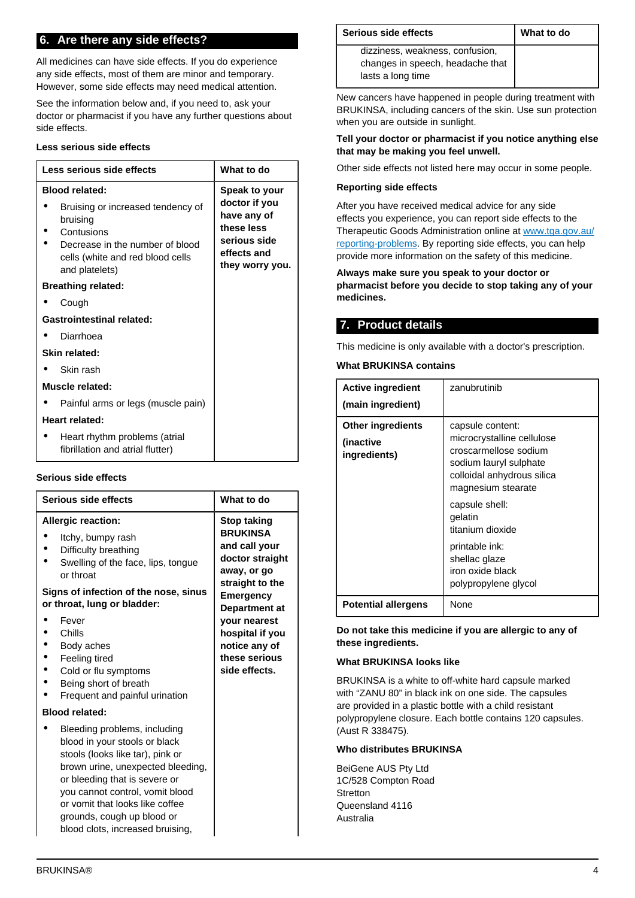## **6. Are there any side effects?**

All medicines can have side effects. If you do experience any side effects, most of them are minor and temporary. However, some side effects may need medical attention.

See the information below and, if you need to, ask your doctor or pharmacist if you have any further questions about side effects.

#### **Less serious side effects**

| Less serious side effects                                                                                                                                                     | What to do                                                                                                    |
|-------------------------------------------------------------------------------------------------------------------------------------------------------------------------------|---------------------------------------------------------------------------------------------------------------|
| <b>Blood related:</b><br>Bruising or increased tendency of<br>bruising<br>Contusions<br>Decrease in the number of blood<br>cells (white and red blood cells<br>and platelets) | Speak to your<br>doctor if you<br>have any of<br>these less<br>serious side<br>effects and<br>they worry you. |
| <b>Breathing related:</b>                                                                                                                                                     |                                                                                                               |
| Cough                                                                                                                                                                         |                                                                                                               |
| <b>Gastrointestinal related:</b>                                                                                                                                              |                                                                                                               |
| Diarrhoea                                                                                                                                                                     |                                                                                                               |
| Skin related:                                                                                                                                                                 |                                                                                                               |
| Skin rash                                                                                                                                                                     |                                                                                                               |
| Muscle related:                                                                                                                                                               |                                                                                                               |
| Painful arms or legs (muscle pain)                                                                                                                                            |                                                                                                               |
| Heart related:                                                                                                                                                                |                                                                                                               |
| Heart rhythm problems (atrial<br>fibrillation and atrial flutter)                                                                                                             |                                                                                                               |

#### **Serious side effects**

| <b>Serious side effects</b>                                                                                                                                                                                                                                                                                                            | What to do                                                                                                                                                                                                                             |
|----------------------------------------------------------------------------------------------------------------------------------------------------------------------------------------------------------------------------------------------------------------------------------------------------------------------------------------|----------------------------------------------------------------------------------------------------------------------------------------------------------------------------------------------------------------------------------------|
| <b>Allergic reaction:</b><br>Itchy, bumpy rash<br>Difficulty breathing<br>Swelling of the face, lips, tongue<br>or throat<br>Signs of infection of the nose, sinus<br>or throat, lung or bladder:<br>Fever<br>Chills<br>Body aches<br>Feeling tired<br>Cold or flu symptoms<br>Being short of breath<br>Frequent and painful urination | <b>Stop taking</b><br><b>BRUKINSA</b><br>and call your<br>doctor straight<br>away, or go<br>straight to the<br><b>Emergency</b><br>Department at<br>vour nearest<br>hospital if you<br>notice any of<br>these serious<br>side effects. |
| <b>Blood related:</b>                                                                                                                                                                                                                                                                                                                  |                                                                                                                                                                                                                                        |
| Bleeding problems, including<br>blood in your stools or black<br>stools (looks like tar), pink or<br>brown urine, unexpected bleeding,<br>or bleeding that is severe or<br>you cannot control, vomit blood<br>or vomit that looks like coffee<br>grounds, cough up blood or<br>blood clots, increased bruising,                        |                                                                                                                                                                                                                                        |

| Serious side effects                                                                     | What to do |
|------------------------------------------------------------------------------------------|------------|
| dizziness, weakness, confusion,<br>changes in speech, headache that<br>lasts a long time |            |

New cancers have happened in people during treatment with BRUKINSA, including cancers of the skin. Use sun protection when you are outside in sunlight.

#### **Tell your doctor or pharmacist if you notice anything else that may be making you feel unwell.**

Other side effects not listed here may occur in some people.

#### **Reporting side effects**

After you have received medical advice for any side effects you experience, you can report side effects to the Therapeutic Goods Administration online at [www.tga.gov.au/](http://www.tga.gov.au/reporting-problems) [reporting-problems](http://www.tga.gov.au/reporting-problems). By reporting side effects, you can help provide more information on the safety of this medicine.

#### **Always make sure you speak to your doctor or pharmacist before you decide to stop taking any of your medicines.**

## <span id="page-3-0"></span>**7. Product details**

This medicine is only available with a doctor's prescription.

#### **What BRUKINSA contains**

| <b>Active ingredient</b><br>(main ingredient)         | zanubrutinib                                                                                                                                          |
|-------------------------------------------------------|-------------------------------------------------------------------------------------------------------------------------------------------------------|
| <b>Other ingredients</b><br>(inactive<br>ingredients) | capsule content:<br>microcrystalline cellulose<br>croscarmellose sodium<br>sodium lauryl sulphate<br>colloidal anhydrous silica<br>magnesium stearate |
|                                                       | capsule shell:<br>qelatin<br>titanium dioxide                                                                                                         |
|                                                       | printable ink:<br>shellac glaze<br>iron oxide black<br>polypropylene glycol                                                                           |
| <b>Potential allergens</b>                            | None                                                                                                                                                  |

**Do not take this medicine if you are allergic to any of these ingredients.**

#### **What BRUKINSA looks like**

BRUKINSA is a white to off-white hard capsule marked with "ZANU 80" in black ink on one side. The capsules are provided in a plastic bottle with a child resistant polypropylene closure. Each bottle contains 120 capsules. (Aust R 338475).

#### **Who distributes BRUKINSA**

BeiGene AUS Pty Ltd 1C/528 Compton Road **Stretton** Queensland 4116 Australia